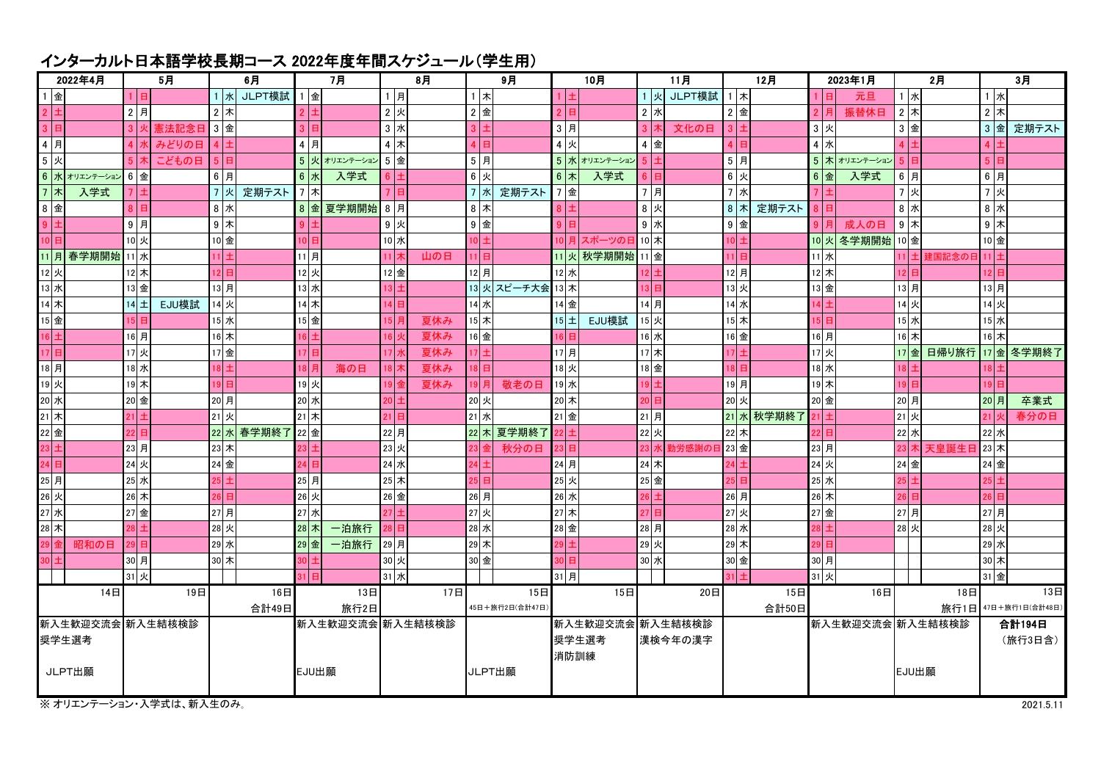## インターカルト日本語学校長期コース 2022年度年間スケジュール(学生用)

| 2022年4月                                                                                                        |  | 5月             |          | 6月    |           | 7月 |                    | 8月    |               | 9月          |        | 10月      |                 | 11月              |               | 12月            |        |                    |       | 2023年1月    | 2月          |                   |                | 3 <sub>H</sub> |                      |         |                 |
|----------------------------------------------------------------------------------------------------------------|--|----------------|----------|-------|-----------|----|--------------------|-------|---------------|-------------|--------|----------|-----------------|------------------|---------------|----------------|--------|--------------------|-------|------------|-------------|-------------------|----------------|----------------|----------------------|---------|-----------------|
| 1 金                                                                                                            |  |                | 16       |       | 1 x       |    | JLPT模試             | 金     |               | 1月          |        | $1$ $*$  |                 |                  |               | 1 火            | JLPT模試 | $1$ 木              |       |            |             | 元旦                | 1 水            |                | 1 水                  |         |                 |
| $2 \pm$                                                                                                        |  |                | 2 F      |       | $2$ 木     |    |                    |       |               | $2$ 火       |        | $2$ 金    |                 |                  |               | $2$ 水          |        | $2$ 金              |       |            |             | 振替休日              | $2$ 木          |                | $2$ $*$              |         |                 |
| $3$ $\Box$                                                                                                     |  |                |          | 憲法記念日 | 3 金       |    |                    | 3H    |               | $3 \times$  |        | 3        |                 | 3  <i>月</i>      |               | 3 <sup>1</sup> | 文化の日   | $3 \vert \pm$      |       |            | 3 火         |                   | 3 金            |                | $3 \nvert \nvert$    |         | 定期テスト           |
| $4$ 月                                                                                                          |  |                | 4 水      | みどりの日 | $4 $ ±    |    |                    | $4$ 月 |               | $4$ $\star$ |        | 4 H      |                 | 4 火              |               | 4 金            |        | $4$ $\overline{B}$ |       |            | 4 水         |                   | 4 E            |                |                      |         |                 |
| 5 火                                                                                                            |  |                |          | こどもの日 | 5         | Е  |                    |       | 5 火 オリエンテーション | $5$ 金       |        | $5 $ 月   |                 |                  | 5 水 オリエンテーション | $5 \pm$        |        | $5 $ 月             |       |            |             | 5 木 オリエンテーション     | 5 <sup>1</sup> |                | $\overline{5}$       |         |                 |
|                                                                                                                |  | 6水オリエンテーション 6金 |          |       | $6$ 月     |    |                    | 6 水   | 入学式           | 6 土         |        | 6 火      |                 | $6$ 木            | 入学式           | 6 <sup>1</sup> |        | $6$ 火              |       |            | $6 \times$  | 入学式               | 6 F            |                | 6月                   |         |                 |
| 7 木                                                                                                            |  | 入学式            |          |       | 7 火       |    | 定期テスト              | 7 木   |               | 7 I EI      |        | 7 水      | 定期テスト           | 7 金              |               | 7月             |        | 7 水                |       |            |             |                   | 7 火            |                | 7 火                  |         |                 |
| $8$ 金                                                                                                          |  |                |          |       | 8 水       |    |                    |       | 8 金 夏学期開始 8 月 |             |        | $8$ 木    |                 |                  |               | 8 火            |        | $8$ 木              |       | 定期テスト      |             |                   | 8 $x$          |                | 8 水                  |         |                 |
| $9 \pm$                                                                                                        |  |                | $9$ 月    |       | $9$ $\pi$ |    |                    |       |               | 9 火         |        | $9$ 金    |                 |                  |               | 9 水            |        | 9 金                |       |            |             | 成人の日              | $9$ $*$        |                | $9$ $\star$          |         |                 |
| 10 日                                                                                                           |  |                | 10 火     |       | 10 金      |    |                    | 10 日  |               | 10 水        |        | $10 \pm$ |                 |                  | 10 月 スポーツの日   | 10 木           |        | 10 土               |       |            |             | 10 火 冬学期開始 10 金   |                |                | 10 金                 |         |                 |
|                                                                                                                |  | 11 月 春学期開始     | 11 水     |       | 11   ±    |    |                    | 11月   |               | 11 木        | 山の日    | 11 日     |                 |                  | 11 火 秋学期開始    | 11 金           |        | $11$ E             |       |            | 11水         |                   |                | 11 土 建国記念のE    | 11 ±                 |         |                 |
| 12 火                                                                                                           |  |                | 12 木     |       | 12 日      |    |                    | 12 火  |               | 12 金        |        | 12月      |                 | 12 水             |               | $12 \pm$       |        | 12月                |       |            | $12 \times$ |                   | 12 E           |                | 12 <sup>1</sup>      |         |                 |
| 13 水                                                                                                           |  |                | 13 金     |       | 13月       |    |                    | 13 水  |               | $13 \pm$    |        |          | 13 火 スピーチ大会     | 13 木             |               | 13 日           |        | 13 火               |       |            | 13 金        |                   | 13月            |                | 13月                  |         |                 |
| $14$ 木                                                                                                         |  |                | $14 \pm$ | EJU模試 | 14火       |    |                    | 14 木  |               | 14 日        |        | 14 水     |                 | 14 金             |               | 14月            |        | 14 水               |       |            |             |                   | 14 火           |                | 14 火                 |         |                 |
| $\frac{1}{15}$ 金                                                                                               |  |                | 15 E     |       | 15水       |    |                    | 15 金  |               | 15月         | 夏休み    | 15 木     |                 | $15 \pm$         | EJU模試         | 15 火           |        | 15 木               |       |            | 15 E        |                   | 15 水           |                | 15 水                 |         |                 |
| $16 \pm$                                                                                                       |  |                | 16月      |       | 16 木      |    |                    | 16 H  |               | ؛ 16        | 夏休み    | 16 金     |                 | 16 I             |               | 16 水           |        | 16 金               |       |            | 16月         |                   | 16 木           |                | 16 木                 |         |                 |
| 17 $\overline{B}$                                                                                              |  |                | 17 火     |       | 17 金      |    |                    | 17 B  |               | 17 개        | 夏休み    | 17 $\pm$ |                 | 17月              |               | 17 木           |        | $17 \pm$           |       |            | 17火         |                   | 17金            | 日帰り旅行          |                      |         | 17 金 冬学期終了      |
| $18$ 月                                                                                                         |  |                | 18 水     |       | t   81    |    |                    |       | 海の日           | 18 木        | 夏休み    | 18 日     |                 | 18 火             |               | 18 金           |        | $18$ E             |       |            | 18 水        |                   | I8 ∃           |                |                      |         |                 |
| $19$ 火                                                                                                         |  |                | 19木      |       | 19        |    |                    | 19 火  |               | 19          | 夏休み    | 19月      | 敬老の日            | 19 水             |               | $19+$          |        | 19月                |       |            | 19 木        |                   | 19 E           |                | 19                   |         |                 |
| 20 水                                                                                                           |  |                | 20 金     |       | 20 月      |    |                    | 20 水  |               | 20l 土       |        | 20 火     |                 | 20 木             |               | 20 日           |        | 20 火               |       |            | 20 金        |                   | 20月            |                | 20 月                 |         | 卒業式             |
| $\overline{21}$ 木                                                                                              |  |                | 21   土   |       | 21 火      |    |                    | 21 木  |               | 21 日        |        | 21 水     |                 | 21 金             |               | 21月            |        |                    |       | 21 水 秋学期終了 | $21 \pm$    |                   | 21 火           |                | $21$ $\overline{y}$  |         | 春分の日            |
| 22 金                                                                                                           |  |                | 22 E     |       |           |    | 22 水 春学期終了         | 22 金  |               | 22月         |        |          | 22 木 夏学期終了      | 22 土             |               | 22 火           |        | 22 木               |       |            |             |                   | 22 水           |                | 22 水                 |         |                 |
| $23 \pm$                                                                                                       |  |                | 23 月     |       | 23 木      |    |                    |       |               | 23 火        |        | 23 金     | 秋分の日            | 23日              |               | 23 水           | 勤労感謝のE | 23 金               |       |            | 23月         |                   |                | 23 木 天皇誕生日     | 23 木                 |         |                 |
| 24 $\boxed{=}$                                                                                                 |  |                | 24 火     |       | 24 金      |    |                    | 24 日  |               | 24 水        |        | $24 \pm$ |                 | 24月              |               | 24 木           |        | $\frac{1}{24}$     |       |            | 24 火        |                   | 24 金           |                | 24 金                 |         |                 |
| $\begin{array}{ c c }\hline 25&\overline{\mathfrak{H}}\ \hline 26&\overline{\mathfrak{K}}\ \hline \end{array}$ |  |                | 25 水     |       | 25 L      |    |                    | 25月   |               | 25 木        |        | 25 日     |                 | 25 火             |               | 25 金           |        | $25 $ 日            |       |            | 25 水        |                   | 25 E           |                | 25 <sub>1</sub>      |         |                 |
|                                                                                                                |  |                | 26 木     |       | 26 日      |    |                    | 26 火  |               | 26 金        |        | 26 月     |                 | 26 水             |               | $26 \pm$       |        | 26 月               |       |            | $26$ 木      |                   | $26$ P         |                | 26                   |         |                 |
| 。<br>27 水                                                                                                      |  |                | 27 金     |       | 27月       |    |                    | 27 水  |               | 27 ±        |        | 27 火     |                 | 27 木             |               | 27             |        | 27 火               |       |            | 27 金        |                   | 27月            |                | 27月                  |         |                 |
| 28 木                                                                                                           |  |                |          |       | 28 火      |    |                    | 28 木  | 一泊旅行          | 28 日        |        | 28 水     |                 | 28 金             |               | 28 月           |        | 28 水               |       |            |             |                   | 28 火           |                | 28 火                 |         |                 |
|                                                                                                                |  | 昭和の日           | 29 E     |       | 29水       |    |                    | 29 金  | 一泊旅行          | 29月         |        | 29 木     |                 | 29 H             |               | 29 火           |        | 29 木               |       |            |             |                   |                |                | 29 水                 |         |                 |
| $30 \vert \pm$                                                                                                 |  |                | 30 月     |       | 30 木      |    |                    |       |               | 30 火        |        | 30 金     |                 | lo:              |               | 30 水           |        | 30 金               |       |            | 30月         |                   |                |                | 30 木                 |         |                 |
|                                                                                                                |  |                | 31 火     |       |           |    |                    | IΕ    |               | 31 水        |        |          |                 | 31月              |               |                |        | $31 \pm$           |       |            | 31 火        |                   |                |                | 31 金                 |         |                 |
|                                                                                                                |  | 14日            |          | 19日   |           |    | 16日                |       | 13日           |             | 17日    |          | 15日             |                  | 15日           |                | 20日    |                    |       | 15日        |             | 16日               |                | 18日            |                      |         | 13 <sup>H</sup> |
|                                                                                                                |  |                |          |       | 合計49日     |    |                    | 旅行2日  |               |             |        |          | 45日+旅行2日(合計47日) |                  |               |                |        |                    | 合計50日 |            |             |                   |                |                | 旅行1日 47日+旅行1日(合計48日) |         |                 |
| 新入生歓迎交流会 新入生結核検診                                                                                               |  |                |          |       |           |    | 新入生歓迎交流会   新入生結核検診 |       |               |             |        |          |                 | 新入生歓迎交流会 新入生結核検診 |               |                |        |                    |       |            |             | 新入生歓迎交流会  新入生結核検診 |                | 合計194日         |                      |         |                 |
| 奨学生選考                                                                                                          |  |                |          |       |           |    |                    |       |               |             |        |          |                 | 奨学生選考            |               | 漢検今年の漢字        |        |                    |       |            |             |                   |                |                |                      | (旅行3日含) |                 |
|                                                                                                                |  |                |          |       |           |    |                    |       |               |             |        |          | 消防訓練            |                  |               |                |        |                    |       |            |             |                   |                |                |                      |         |                 |
| JLPT出願                                                                                                         |  |                |          |       |           |    | EJU出願              |       |               |             | JLPT出願 |          |                 |                  |               |                |        |                    |       |            |             | EJU出願             |                |                |                      |         |                 |
|                                                                                                                |  |                |          |       |           |    |                    |       |               |             |        |          |                 |                  |               |                |        |                    |       |            |             |                   |                |                |                      |         |                 |

※ オリエンテーション・入学式は、新入生のみ。